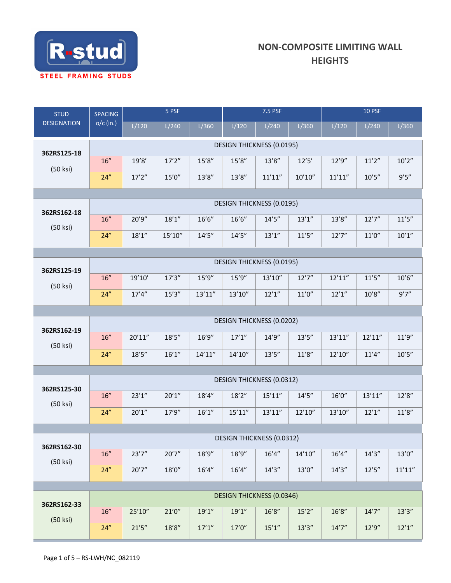

| <b>STUD</b>        | SPACING                   | 5 PSF   |         |         | 7.5 PSF                          |         |         | $10$ PSF |         |         |  |  |
|--------------------|---------------------------|---------|---------|---------|----------------------------------|---------|---------|----------|---------|---------|--|--|
| <b>DESIGNATION</b> | $o/c$ (in.)               | L/120   | L/240   | L/360   | L/120                            | L/240   | L/360   | L/120    | L/240   | L/360   |  |  |
|                    |                           |         |         |         | DESIGN THICKNESS (0.0195)        |         |         |          |         |         |  |  |
| 362RS125-18        | 16"                       | 19'8'   | 17'2''  | 15'8''  | 15'8''                           | 13'8''  | $12'5'$ | 12'9''   | 11'2''  | 10'2''  |  |  |
| (50 ksi)           | 24"                       | 17'2''  | 15'0''  | 13'8''  | 13'8''                           | 11'11'' | 10'10'' | 11'11''  | 10'5''  | 9'5''   |  |  |
|                    |                           |         |         |         |                                  |         |         |          |         |         |  |  |
| 362RS162-18        | DESIGN THICKNESS (0.0195) |         |         |         |                                  |         |         |          |         |         |  |  |
| (50 ksi)           | $16''$                    | 20'9"   | 18'1''  | 16'6''  | 16'6''                           | 14'5''  | 13'1''  | 13'8''   | 12'7''  | 11'5''  |  |  |
|                    | 24"                       | 18'1''  | 15'10'' | 14'5''  | 14'5''                           | 13'1''  | 11'5''  | 12'7''   | 11'0''  | 10'1''  |  |  |
|                    |                           |         |         |         | <b>DESIGN THICKNESS (0.0195)</b> |         |         |          |         |         |  |  |
| 362RS125-19        | $16''$                    | 19'10'  | 17'3''  | 15'9''  | 15'9''                           | 13'10'' | 12'7''  | 12'11''  | 11'5''  | 10'6''  |  |  |
| (50 ksi)           | 24"                       | 17'4''  | 15'3''  | 13'11'' | 13'10''                          | 12'1''  | 11'0''  | 12'1''   | 10'8''  | 9'7''   |  |  |
|                    |                           |         |         |         |                                  |         |         |          |         |         |  |  |
|                    | DESIGN THICKNESS (0.0202) |         |         |         |                                  |         |         |          |         |         |  |  |
| 362RS162-19        | 16"                       | 20'11'' | 18'5''  | 16'9''  | 17'1''                           | 14'9''  | 13'5''  | 13'11''  | 12'11'' | 11'9''  |  |  |
| (50 ksi)           | 24"                       | 18'5''  | 16'1''  | 14'11'' | 14'10''                          | 13'5''  | 11'8''  | 12'10''  | 11'4''  | 10'5''  |  |  |
|                    |                           |         |         |         |                                  |         |         |          |         |         |  |  |
|                    | DESIGN THICKNESS (0.0312) |         |         |         |                                  |         |         |          |         |         |  |  |
| 362RS125-30        | $16''$                    | 23'1''  | 20'1''  | 18'4''  | 18'2''                           | 15'11'' | 14'5''  | 16'0''   | 13'11'' | 12'8''  |  |  |
| (50 ksi)           | 24"                       | 20'1''  | 17'9''  | 16'1''  | 15'11''                          | 13'11'' | 12'10'' | 13'10''  | 12'1''  | 11'8''  |  |  |
|                    |                           |         |         |         |                                  |         |         |          |         |         |  |  |
| 362RS162-30        |                           |         |         |         | <b>DESIGN THICKNESS (0.0312)</b> |         |         |          |         |         |  |  |
| (50 ksi)           | 16"                       | 23'7''  | 20'7''  | 18'9"   | 18'9''                           | 16'4''  | 14'10'' | 16'4''   | 14'3''  | 13'0''  |  |  |
|                    | 24"                       | 20'7''  | 18'0''  | 16'4''  | 16'4''                           | 14'3''  | 13'0''  | 14'3''   | 12'5''  | 11'11'' |  |  |
|                    |                           |         |         |         | <b>DESIGN THICKNESS (0.0346)</b> |         |         |          |         |         |  |  |
| 362RS162-33        | 16"                       | 25'10"  | 21'0''  | 19'1''  | 19'1''                           | 16'8''  | 15'2''  | 16'8''   | 14'7''  | 13'3''  |  |  |
| $(50$ ksi $)$      | 24''                      | 21'5''  | 18'8''  | 17'1''  | 17'0''                           | 15'1''  | 13'3''  | 14'7''   | 12'9''  | 12'1''  |  |  |
|                    |                           |         |         |         |                                  |         |         |          |         |         |  |  |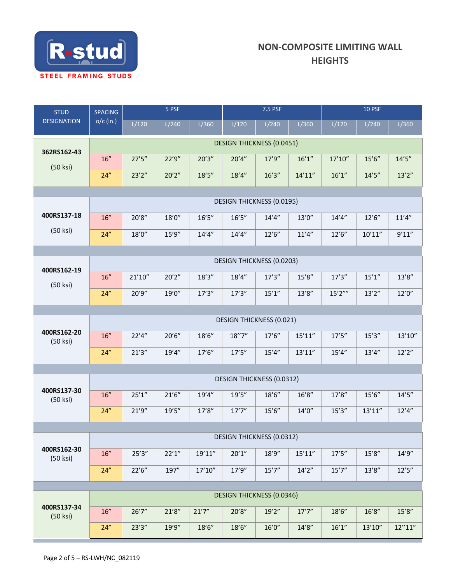

| <b>DESIGNATION</b><br>$o/c$ (in.)<br>L/120<br>L/240<br>L/120<br>L/360<br><b>DESIGN THICKNESS (0.0451)</b><br>362RS162-43<br>27'5''<br>22'9''<br>20'3''<br>20'4''<br>16"<br>(50 ksi)<br>24"<br>23'2''<br>20'2''<br>18'5''<br>18'4'' | L/240<br>17'9''<br>16'3''        | L/360<br>16'1''<br>14'11'' | L/120<br>17'10'' | L/240<br>15'6'' | L/360    |  |  |  |  |  |  |  |
|------------------------------------------------------------------------------------------------------------------------------------------------------------------------------------------------------------------------------------|----------------------------------|----------------------------|------------------|-----------------|----------|--|--|--|--|--|--|--|
|                                                                                                                                                                                                                                    |                                  |                            |                  |                 |          |  |  |  |  |  |  |  |
|                                                                                                                                                                                                                                    |                                  |                            |                  |                 |          |  |  |  |  |  |  |  |
|                                                                                                                                                                                                                                    |                                  |                            |                  |                 | 14'5''   |  |  |  |  |  |  |  |
|                                                                                                                                                                                                                                    |                                  |                            | 16'1''           | 14'5''          | 13'2''   |  |  |  |  |  |  |  |
|                                                                                                                                                                                                                                    |                                  |                            |                  |                 |          |  |  |  |  |  |  |  |
|                                                                                                                                                                                                                                    | <b>DESIGN THICKNESS (0.0195)</b> |                            |                  |                 |          |  |  |  |  |  |  |  |
| 400RS137-18<br>$16''$<br>20'8''<br>18'0''<br>16'5''<br>16'5''                                                                                                                                                                      | 14'4''                           | 13'0''                     | 14'4''           | 12'6''          | 11'4''   |  |  |  |  |  |  |  |
| (50 ksi)<br>15'9''<br>24"<br>18'0"<br>14'4''<br>14'4''                                                                                                                                                                             | 12'6''                           | 11'4''                     | 12'6''           | 10'11''         | 9'11''   |  |  |  |  |  |  |  |
| DESIGN THICKNESS (0.0203)                                                                                                                                                                                                          |                                  |                            |                  |                 |          |  |  |  |  |  |  |  |
| 400RS162-19<br>21'10''<br>20'2''<br>18'3''<br>16"<br>18'4''                                                                                                                                                                        | 17'3''                           | 15'8''                     | 17'3''           | 15'1''          | 13'8''   |  |  |  |  |  |  |  |
| (50 ksi)                                                                                                                                                                                                                           |                                  |                            |                  |                 |          |  |  |  |  |  |  |  |
| 24"<br>20'9"<br>19'0''<br>17'3''<br>17'3''                                                                                                                                                                                         | 15'1''                           | 13'8''                     | 15'2'''          | 13'2''          | 12'0''   |  |  |  |  |  |  |  |
|                                                                                                                                                                                                                                    |                                  |                            |                  |                 |          |  |  |  |  |  |  |  |
| 400RS162-20                                                                                                                                                                                                                        | <b>DESIGN THICKNESS (0.021)</b>  |                            |                  |                 |          |  |  |  |  |  |  |  |
| $16''$<br>22'4''<br>20'6''<br>18'6"<br>18''7''<br>(50 ksi)                                                                                                                                                                         | 17'6''                           | 15'11''                    | 17'5''           | 15'3''          | 13'10''  |  |  |  |  |  |  |  |
| 24"<br>21'3''<br>19'4''<br>17'6''<br>17'5''                                                                                                                                                                                        | 15'4''                           | 13'11''                    | 15'4''           | 13'4''          | 12'2''   |  |  |  |  |  |  |  |
|                                                                                                                                                                                                                                    |                                  |                            |                  |                 |          |  |  |  |  |  |  |  |
| <b>DESIGN THICKNESS (0.0312)</b><br>400RS137-30                                                                                                                                                                                    |                                  |                            |                  |                 |          |  |  |  |  |  |  |  |
| $16''$<br>25'1''<br>21'6''<br>19'4''<br>19'5''<br>(50 ksi)                                                                                                                                                                         | 18'6"                            | 16'8''                     | 17'8''           | 15'6''          | 14'5''   |  |  |  |  |  |  |  |
| 24"<br>21'9''<br>19'5''<br>17'8''<br>17'7''                                                                                                                                                                                        | 15'6''                           | 14'0''                     | 15'3''           | 13'11''         | 12'4''   |  |  |  |  |  |  |  |
| DESIGN THICKNESS (0.0312)                                                                                                                                                                                                          |                                  |                            |                  |                 |          |  |  |  |  |  |  |  |
| 400RS162-30                                                                                                                                                                                                                        |                                  |                            |                  |                 |          |  |  |  |  |  |  |  |
| 25'3''<br>22'1''<br>$16''$<br>19'11''<br>20'1''<br>(50 ksi)                                                                                                                                                                        | 18'9"                            | 15'11''                    | 17'5''           | 15'8''          | 14'9''   |  |  |  |  |  |  |  |
| 24''<br>22'6''<br>197"<br>17'10''<br>17'9''                                                                                                                                                                                        | 15'7''                           | 14'2''                     | 15'7''           | 13'8''          | 12'5''   |  |  |  |  |  |  |  |
| <b>DESIGN THICKNESS (0.0346)</b>                                                                                                                                                                                                   |                                  |                            |                  |                 |          |  |  |  |  |  |  |  |
| 400RS137-34<br>16"<br>26'7''<br>21'8''<br>21'7''<br>20'8''                                                                                                                                                                         | 19'2''                           | 17'7''                     | 18'6''           | 16'8''          | 15'8''   |  |  |  |  |  |  |  |
| (50 ksi)<br>23'3''<br>19'9"<br>18'6''<br>18'6''<br>24"                                                                                                                                                                             | 16'0''                           | 14'8''                     | 16'1''           | 13'10"          | 12''11'' |  |  |  |  |  |  |  |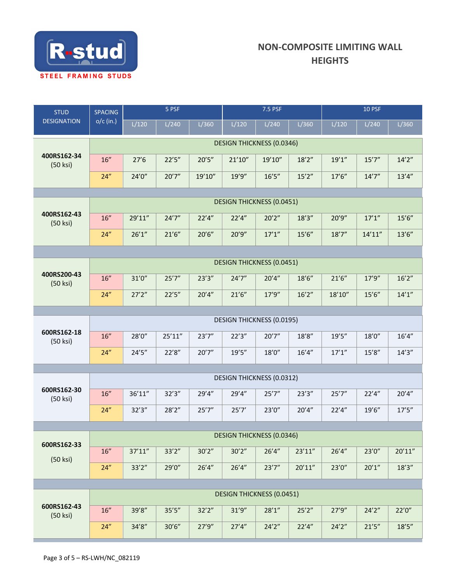

| <b>STUD</b><br><b>DESIGNATION</b> | <b>SPACING</b>                   | 5 PSF   |         |        | 7.5 PSF |                                  |         | <b>10 PSF</b> |         |         |  |
|-----------------------------------|----------------------------------|---------|---------|--------|---------|----------------------------------|---------|---------------|---------|---------|--|
|                                   | $o/c$ (in.)                      | L/120   | L/240   | L/360  | L/120   | L/240                            | L/360   | L/120         | L/240   | L/360   |  |
|                                   | <b>DESIGN THICKNESS (0.0346)</b> |         |         |        |         |                                  |         |               |         |         |  |
| 400RS162-34<br>(50 ksi)           | $16''$                           | 27'6    | 22'5''  | 20'5'' | 21'10'' | 19'10"                           | 18'2''  | 19'1''        | 15'7''  | 14'2''  |  |
|                                   | 24"                              | 24'0''  | 20'7''  | 19'10" | 19'9''  | 16'5''                           | 15'2''  | 17'6''        | 14'7''  | 13'4''  |  |
|                                   |                                  |         |         |        |         |                                  |         |               |         |         |  |
| 400RS162-43                       | <b>DESIGN THICKNESS (0.0451)</b> |         |         |        |         |                                  |         |               |         |         |  |
| (50 ksi)                          | 16"                              | 29'11"  | 24'7''  | 22'4'' | 22'4''  | 20'2''                           | 18'3''  | 20'9"         | 17'1''  | 15'6''  |  |
|                                   | 24"                              | 26'1''  | 21'6''  | 20'6'' | 20'9''  | 17'1''                           | 15'6''  | 18'7''        | 14'11'' | 13'6''  |  |
|                                   |                                  |         |         |        |         |                                  |         |               |         |         |  |
| 400RS200-43<br>(50 ksi)           |                                  |         |         |        |         | <b>DESIGN THICKNESS (0.0451)</b> |         |               |         |         |  |
|                                   | 16"                              | 31'0''  | 25'7''  | 23'3'' | 24'7''  | 20'4''                           | 18'6''  | 21'6''        | 17'9''  | 16'2''  |  |
|                                   | 24"                              | 27'2''  | 22'5''  | 20'4'' | 21'6''  | 17'9''                           | 16'2''  | 18'10''       | 15'6''  | 14'1''  |  |
|                                   | <b>DESIGN THICKNESS (0.0195)</b> |         |         |        |         |                                  |         |               |         |         |  |
| 600RS162-18<br>(50 ksi)           | 16"                              | 28'0"   | 25'11'' | 23'7'' | 22'3''  | 20'7''                           | 18'8''  | 19'5''        | 18'0"   | 16'4''  |  |
|                                   | 24"                              | 24'5''  | 22'8''  | 20'7'' | 19'5''  | $18'0''$                         | 16'4''  | 17'1''        | 15'8''  | 14'3''  |  |
|                                   |                                  |         |         |        |         |                                  |         |               |         |         |  |
|                                   | DESIGN THICKNESS (0.0312)        |         |         |        |         |                                  |         |               |         |         |  |
| 600RS162-30<br>(50 ksi)           | 16"                              | 36'11"  | 32'3''  | 29'4"  | 29'4"   | 25'7''                           | 23'3''  | 25'7''        | 22'4''  | 20'4''  |  |
|                                   | 24"                              | 32'3''  | 28'2''  | 25'7'' | 25'7'   | 23'0''                           | 20'4''  | 22'4''        | 19'6''  | 17'5''  |  |
|                                   |                                  |         |         |        |         |                                  |         |               |         |         |  |
| 600RS162-33                       | <b>DESIGN THICKNESS (0.0346)</b> |         |         |        |         |                                  |         |               |         |         |  |
| (50 ksi)                          | 16"                              | 37'11'' | 33'2''  | 30'2'' | 30'2''  | 26'4''                           | 23'11'' | 26'4''        | 23'0"   | 20'11'' |  |
|                                   | 24"                              | 33'2''  | 29'0"   | 26'4'' | 26'4''  | 23'7''                           | 20'11'' | 23'0''        | 20'1''  | 18'3''  |  |
|                                   |                                  |         |         |        |         |                                  |         |               |         |         |  |
| 600RS162-43                       |                                  |         |         |        |         | <b>DESIGN THICKNESS (0.0451)</b> |         |               |         |         |  |
| (50 ksi)                          | 16"                              | 39'8"   | 35'5''  | 32'2'' | 31'9''  | 28'1''                           | 25'2''  | 27'9''        | 24'2''  | 22'0''  |  |
|                                   | 24"                              | 34'8''  | 30'6''  | 27'9'' | 27'4''  | 24'2''                           | 22'4''  | 24'2''        | 21'5''  | 18'5''  |  |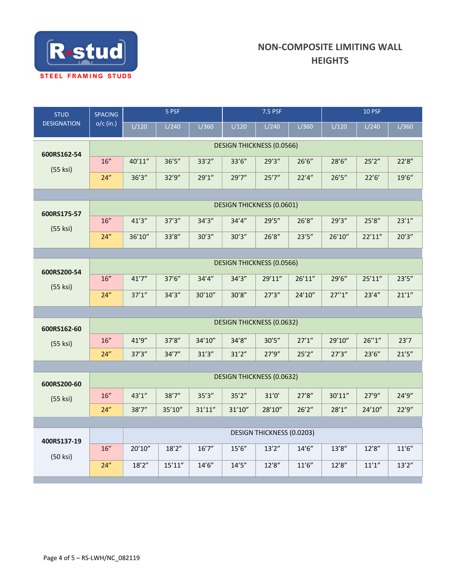

| <b>STUD</b><br><b>DESIGNATION</b> | SPACING                          | 5 PSF                            |         |         | 7.5 PSF                          |        |         | <b>10 PSF</b> |         |        |  |  |
|-----------------------------------|----------------------------------|----------------------------------|---------|---------|----------------------------------|--------|---------|---------------|---------|--------|--|--|
|                                   | $o/c$ (in.)                      | L/120                            | L/240   | L/360   | L/120                            | L/240  | L/360   | L/120         | L/240   | L/360  |  |  |
| 600RS162-54                       | <b>DESIGN THICKNESS (0.0566)</b> |                                  |         |         |                                  |        |         |               |         |        |  |  |
|                                   | $16''$                           | 40'11"                           | 36'5''  | 33'2''  | 33'6''                           | 29'3'' | 26'6''  | 28'6"         | 25'2''  | 22'8"  |  |  |
| (55 ksi)                          | 24"                              | 36'3''                           | 32'9''  | 29'1''  | 29'7''                           | 25'7'' | 22'4''  | 26'5''        | 22'6'   | 19'6'' |  |  |
|                                   |                                  |                                  |         |         |                                  |        |         |               |         |        |  |  |
| 600RS175-57                       | <b>DESIGN THICKNESS (0.0601)</b> |                                  |         |         |                                  |        |         |               |         |        |  |  |
| (55 ksi)                          | 16"                              | 41'3''                           | 37'3''  | 34'3''  | 34'4''                           | 29'5'' | 26'8''  | 29'3''        | 25'8''  | 23'1'' |  |  |
|                                   | 24"                              | 36'10"                           | 33'8''  | 30'3''  | 30'3''                           | 26'8'' | 23'5''  | 26'10"        | 22'11'' | 20'3'' |  |  |
|                                   |                                  |                                  |         |         |                                  |        |         |               |         |        |  |  |
| 600RS200-54                       |                                  | <b>DESIGN THICKNESS (0.0566)</b> |         |         |                                  |        |         |               |         |        |  |  |
| (55 ksi)                          | 16"                              | 41'7''                           | 37'6''  | 34'4''  | 34'3''                           | 29'11" | 26'11'' | 29'6"         | 25'11'' | 23'5'' |  |  |
|                                   | 24"                              | 37'1''                           | 34'3''  | 30'10'' | 30'8''                           | 27'3'' | 24'10'' | 27''1''       | 23'4''  | 21'1'' |  |  |
|                                   |                                  |                                  |         |         |                                  |        |         |               |         |        |  |  |
| 600RS162-60                       |                                  |                                  |         |         | <b>DESIGN THICKNESS (0.0632)</b> |        |         |               |         |        |  |  |
| (55 ksi)                          | 16"                              | 41'9"                            | 37'8''  | 34'10"  | 34'8''                           | 30'5'' | 27'1''  | 29'10"        | 26''1'' | 23'7   |  |  |
|                                   | 24"                              | 37'3''                           | 34'7''  | 31'3''  | 31'2''                           | 27'9'' | 25'2''  | 27'3''        | 23'6''  | 21'5'' |  |  |
|                                   |                                  |                                  |         |         | <b>DESIGN THICKNESS (0.0632)</b> |        |         |               |         |        |  |  |
| 600RS200-60                       |                                  |                                  |         |         |                                  |        |         |               |         |        |  |  |
| (55 ksi)                          | $16^{\prime\prime}$              | 43'1''                           | 38'7''  | 35'3''  | 35'2''                           | 31'0'  | 27'8''  | 30'11''       | 27'9''  | 24'9'' |  |  |
|                                   | 24"                              | 38'7''                           | 35'10"  | 31'11'' | 31'10''                          | 28'10" | 26'2''  | 28'1''        | 24'10"  | 22'9'' |  |  |
|                                   |                                  | DESIGN THICKNESS (0.0203)        |         |         |                                  |        |         |               |         |        |  |  |
| 400RS137-19                       |                                  |                                  |         |         |                                  |        |         |               |         |        |  |  |
| (50 ksi)                          | 16"                              | 20'10"                           | 18'2''  | 16'7''  | 15'6''                           | 13'2'' | 14'6''  | 13'8''        | 12'8''  | 11'6'' |  |  |
|                                   | 24"                              | 18'2''                           | 15'11'' | 14'6''  | 14'5''                           | 12'8'' | 11'6''  | 12'8''        | 11'1''  | 13'2'' |  |  |
|                                   |                                  |                                  |         |         |                                  |        |         |               |         |        |  |  |